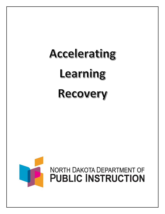# Accelerating learning Recovery

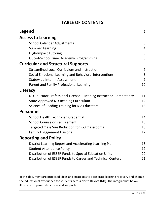| <b>TABLE OF CONTENTS</b>                                          |                |
|-------------------------------------------------------------------|----------------|
| Legend                                                            | $\overline{2}$ |
| <b>Access to Learning</b>                                         |                |
| <b>School Calendar Adjustments</b>                                | 3              |
| <b>Summer Learning</b>                                            | $\overline{4}$ |
| <b>High-Impact Tutoring</b>                                       | 5              |
| Out-of-School Time: Academic Programming                          | 6              |
| <b>Curricular and Structural Supports</b>                         |                |
| <b>Streamlined Local Curriculum and Instruction</b>               | $\overline{7}$ |
| Social Emotional Learning and Behavioral Interventions            | 8              |
| <b>Statewide Interim Assessment</b>                               | 9              |
| Parent and Family Professional Learning                           | 10             |
| Literacy                                                          |                |
| ND Educator Professional License - Reading Instruction Competency | 11             |
| State-Approved K-3 Reading Curriculum                             | 12             |
| Science of Reading Training for K-8 Educators                     | 13             |
| <b>Personnel</b>                                                  |                |
| School Health Technician Credential                               | 14             |
| <b>School Counselor Requirement</b>                               | 15             |
| Targeted Class Size Reduction for K-3 Classrooms                  | 16             |
| <b>Family Engagement Liaisons</b>                                 | 17             |
| <b>Reporting and Policy</b>                                       |                |
| District Learning Report and Accelerating Learning Plan           | 18             |
| <b>Student Attendance Policy</b>                                  | 19             |
| Distribution of ESSER Funds to Special Education Units            | 20             |
| Distribution of ESSER Funds to Career and Technical Centers       | 21             |

 In this document are proposed ideas and strategies to accelerate learning recovery and change the educational experience for students across North Dakota (ND). The infographics below illustrate proposed structures and supports.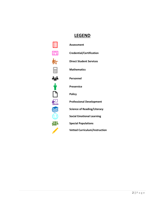### **LEGEND**

| 圀                       |
|-------------------------|
| $\blacksquare$          |
| 鲒                       |
|                         |
| igi                     |
|                         |
|                         |
| $\overline{\textbf{r}}$ |
| K<br>ł                  |
| (!                      |
| <u>){</u>               |
|                         |

**Professional Development Social Emotional Learning Assessment Credential/Certification Direct Student Services Mathematics Personnel Preservice Policy Science of Reading/Literacy Special Populations Vetted Curriculum/Instruction**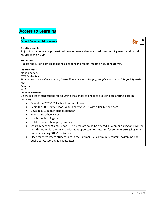### **Access to Learning**

### **Title**

## **School Calendar Adjustments School District Action**





Adjust instructional and professional development calendars to address learning needs and report results to the NDDPI.

### **NDDPI Action**

Publish the list of districts adjusting calendars and report impact on student growth.

### **Legislative Action**

None needed.

### **ESSER Funding Uses**

 *Teacher contract enhancements, instructional aide or tutor pay, supplies and materials, facility costs, etc.* 

### **Grade Levels**

### K-12

### **Additional Information**

Below is a list of suggestions for adjusting the school calendar to assist in accelerating learning recovery:

- Extend the 2020-2021 school year until June
- Begin the 2021-2022 school year in early August, with a flexible end date
- Develop a 10-month school calendar
- Year-round school calendar
- Lunchtime learning clubs
- Holiday break school programming
- • Saturday school (9 a.m. noon) This program could be offered all year, or during only winter months. Potential offerings: enrichment opportunities, tutoring for students struggling with math or reading, STEM projects, etc.
- Place teachers where students are in the summer (i.e. community centers, swimming pools, public parks, sporting facilities, etc.).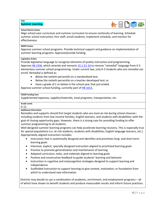

## **Summer Learning**<br>School District Action

Align school-year curriculum and summer curriculum to ensure continuity of learning. Schedule summer school instruction, hire staff, enroll students, implement schedule, and monitor for effectiveness.

### **NDDPI Action**

Approve summer school programs. Provide technical support and guidance on implementation of summer learning programs. Approve/provide funding.

### **Legislative Action**

[Approve HB 1436,](https://intranetapps.nd.gov/lcn/council/billtracking/viewbill/enhancedBillView.htm?enhlcNumber=51327038171b2ec0ade57dbc5902949e) which amends and reenacts [15.1-21-16](https://www.legis.nd.gov/cencode/t15-1c21.pdf) to remove "remedial" language from K-5 elementary summer school programming. Under current law, only K-5 students who are remedial can Provide legislative language to recognize elements of quality instruction and programming. enroll. Remedial is defined as:

- Below the sixtieth percentile on a standardized test;
- Below the sixtieth percentile on a teacher-developed test; or
- Have a grade of C or below in the school year that just ended.

Approve summer school funding, currently part of [HB 1013.](https://intranetapps.nd.gov/lcn/council/billtracking/viewbill/enhancedBillView.htm?enhlcNumber=2584e9c806d985517df961bd51ab7103)

### **ESSER Funding Uses**

*Supplemental expenses, supplies/materials, meal programs, transportation, etc.* 

### **Grade Levels**

K-12

### **Additional Information**

 Remedies and supports should first target students who are most at-risk during school closures– including students from low-income families, English learners, and students with disabilities–with the goal of closing opportunity gaps. However, there is a strong case for providing funding to offer summer programming to all students.

Well-designed summer learning programs can help accelerate learning recovery. This is especially true for special populations (i.e. at-risk students, students with disabilities, English language learners, etc.) Appropriately aligned instruction includes:

- • Instruction that is systemically designed and identifies and prioritizes long- and short-term learning goals
- Intensive, explicit, specially designed instruction aligned to prioritized learning goals
- Practice to promote generalization and maintenance of learning
- Adapted curriculum, tasks, and materials aligned to learning goals
- Positive and constructive feedback to guide students' learning and behavior
- Instruction in cognitive and metacognitive strategies designed to support learning and independence
- • Scaffolded instruction to support learning to give context, motivation, or foundation from which to understand new information

Districts may decide to use a combination of academic, enrichment, and employment programs – all of which have shown to benefit students and produce measurable results and inform future practices.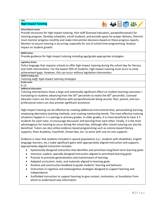## **High-Impact Tutoring**<br>School District Action



**Title** 

 tutoring program. Develop schedules, enroll students, and provide space for proper delivery, Districts must monitor progress monthly and make intervention decisions based on these progress reports. Monitor to ensure tutoring is occurring, especially for out of school time programming. Analyze Provide structures for high-impact tutoring. Hire staff (licensed educators, paraprofessionals) for impact on student growth.

### **NDDPI Action**

Provide guidance for high-impact tutoring including age/grade-appropriate strategies.

### **Legislative Action**

 Policy language that requires schools to offer high-impact tutoring during the school day for literacy and math interventions. For the lowest 20% of students, high-impact tutoring must occur to close achievement gaps. However, this can occur without legislative intervention.

**ESSER Funding Uses** 

*Tutoring staff, high-impact tutoring strategies* 

**Grade Levels**  K-12

**Additional Information** 

 Tutoring interventions show a large and statistically significant effect on student learning outcomes translating to students advancing from the  $50<sup>th</sup>$  percentile to nearly the 66<sup>th</sup> percentile. Licensed educator tutors are the most effective with paraprofessionals being second. Peer, parent, and nonprofessional tutors can also provide significant assistance.

 students for each tutor, to encourage discussion and learning from each other. Finally, it is the most advantageous for tutoring to occur during the school day, although after-school tutoring can also be beneficial. Tutors can also utilize evidence-based programming such as science-based literacy supports, Khan Academy, ExactPath, Dream Box, etc. to assist with one-on-one supports. High-impact tutoring can be effective by creating additional instructional time, personalizing learning, employing alternative teaching methods, and creating mentorship bonds. The most effective tutoring situations happen in 1:1 pairings in primary grades. In older grades, it is more beneficial to have 3-5

language learners, etc.) make significant gains with appropriately aligned instruction and supports.<br>Appropriately aligned instruction includes: Evidence is clear that students included in special populations (i.e., students with disabilities, English

- Systemically designed instruction that identifies and prioritizes long/short-term learning goals
- Intensive, explicit, specially designed instruction aligned to prioritized learning goals
- Practice to promote generalization and maintenance of learning
- Adapted curriculum, tasks, and materials aligned to learning goals
- Positive and constructive feedback to guide students' learning and behavior
- Instruction in cognitive and metacognitive strategies designed to support learning and independence
- • Scaffolded instruction to support learning to give context, motivation, or foundation from which to understand new information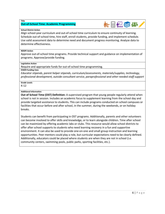## **Out-of-School Time: Academic Programming**<br>School District Action

 Align school-year curriculum and out-of-school time curriculum to ensure continuity of learning. Schedule out-of-school time, hire staff, enroll students, provide funding, and implement schedule. Use valid assessment data to determine need and document progress monitoring. Analyze data to determine effectiveness.

**守量任务2** 

### **NDDPI Action**

 Approve out-of-school time programs. Provide technical support and guidance on implementation of programs. Approve/provide funding.

### **Legislative Action**

Require and appropriate funds for out-of-school time programming.

### **ESSER Funding Uses**

*Educator stipends, parent helper stipends, curriculum/assessments, materials/supplies, technology, professional development, outside consultant service, paraprofessional and other needed staff support* 

**Grade Levels** 

K-12

### **Additional Information**

 **Out of School Time (OST) Definition:** A supervised program that young people regularly attend when facilities that occur before and after school, in the summer, during the weekends, or on holiday school is not in session. Includes an academic focus to supplement learning from the school day and provide targeted assistance to students**.** This can include programs conducted on school campuses or breaks.

 can be maximized by offering academic labs or clubs. This resource would allow school districts to offer after school supports to students who need learning recovery in a fun and supportive Additionally, educators could be placed where students are when they are not in school (i.e. Students can benefit from participating in OST programs. Additionally, parents and other volunteers can become involved to offer skills and knowledge, or to learn alongside children. Time after school environment. It can also be used to provide one-on-one and small group instruction and learning opportunities. Peer mentors could play a role, but curricular expectations need to be clearly defined. community centers, swimming pools, public parks, sporting facilities, etc.).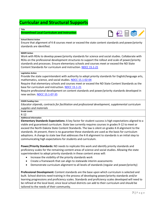### **Curricular and Structural Supports**

### **Title**

### **Streamlined Local Curriculum and Instruction**



### **School District Action**

Ensure that alignment of K-8 courses meet or exceed the state content standards and power/priority standards are identified.

### **NDDPI Action**

Work with REAs to develop power/priority standards for science and social studies. Collaborate with REAs on the professional development structures to support the rollout and scale of power/priority standards and processes. Ensure elementary schools and courses meet or exceed the ND State Content Standards for curriculum and instruction. NDCC 15.1-21

### **Legislative Action**

mathematics, science, and social studies. NDCC 15.1-02-04 Provide the state superintendent with authority to adopt priority standards for English/language arts,

mathematics, science, and social studies. <u>NDCC 15.1-02-04</u><br>Require that elementary schools and courses meet or exceed the ND State Content Standards as the base for curriculum and instruction. NDCC 15.1-21

Require professional development on content standards and power/priority standards developed in new section[. NDCC 15.1-07-35](https://www.legis.nd.gov/cencode/t15-1c07.pdf) 

### *ESSER Funding Uses*

*Educator stipends, contracts for facilitation and professional development, supplemental curriculum supplies and materials* 

### **Grade Levels**

### K-12

### **Additional Information**

 viable and guaranteed curriculum. State law currently requires courses in grades 9-12 to meet or exceed the North Dakota State Content Standards. The law is silent on grades K-8 alignment to the adoptions. A change to state law that addresses the K-8 alignment to standards is an initial step to **Elementary Standards Expectations:** A key factor for student success is high expectations aligned to a standards. At present, there is no guarantee these standards are used as the basis for curriculum communicating high expectations for students and curriculum.

 **Power/Priority Standards:** ND needs to replicate this work and identify priority standards and proficiency scales for the remaining content areas of science and social studies. Allowing the state superintendent to adopt priority standards in these content areas will:

- Increase the visibility of the priority standards work
- Create a framework that can align to statewide interim assessments
- Demonstrate curriculum alignment to all levels of standards (regular and power/priority)

 learning progressions and proficiency scales. Standards and proficiency scales developed will need to be refined at the local level, since local school districts can add to their curriculum and should be tailored to the needs of their community. **Professional Development:** Content standards are the base upon which curriculum is selected and built. School districts need training in the process of developing power/priority standards and/or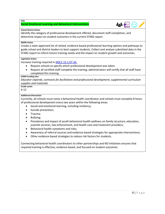### **Social Emotional Learning and Behavioral Interventions**

### **School District Action**

 determine impact on student outcomes in the current STARS report. Identify the category of professional development offered, document staff completion, and

### **NDDPI Action**

 STARS report to inform future training needs and the impact on student growth and outcomes. Create a state-approved list of vetted, evidence-based professional learning options and pathways to guide school and district leaders to best support students. Collect and analyze submitted data in the

### **Legislative Action**

Increase training required i[n NDCC 15.1-07-34.](https://www.legis.nd.gov/cencode/t15-1c07.pdf#nameddest=15p1-07-34) 

- Require schools to specify which professional development was taken.
- Require all certified staff complete the training; administrators will certify that all staff have completed this training.

### **ESSER Funding Uses**

*Educator stipends, contracts for facilitation and professional development, supplemental curriculum supplies and materials* 

**Grade Levels** 

### K-12

### **Additional Information**

 Currently, all schools must name a behavioral health coordinator and schools must complete 8 hours of professional development every two years within the following areas:

- Social and emotional learning, including resiliency;
- Suicide prevention;
- Trauma;
- Bullying;
- Prevalence and impact of youth behavioral health wellness on family structure, education, juvenile services, law enforcement, and health care and treatment providers;
- Behavioral health symptoms and risks;
- Awareness of referral sources and evidence-based strategies for appropriate interventions;
- Other evidence-based strategies to reduce risk factors for students.

 Connecting behavioral health coordinators to other partnerships and ND initiatives ensures that required training is effective, evidence based, and focused on student outcomes.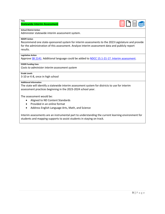### **Statewide Interim Assessment**



### **School District Action**

Administer statewide interim assessment system.

### **NDDPI Action**

**Title** 

 Recommend one state-sponsored system for interim assessments to the 2023 Legislature and provide for the administration of this assessment. Analyze interim assessment data and publicly report results.

### **Legislative Action**

Approve [SB 2141.](https://intranetapps.nd.gov/lcn/council/billtracking/viewbill/enhancedBillView.htm?enhlcNumber=dfd9a77a3dea7b189a5eb4142e464e35) Additional language could be added to [NDCC 15.1-21-17. Interim assessment.](https://www.legis.nd.gov/cencode/t15-1c21.pdf#nameddest=15p1-21-17)

### **ESSER Funding Uses**

*Costs to administer interim assessment system* 

### **Grade Levels**

3-10 or K-8, once in high school

### **Additional Information**

 The state will identify a statewide interim assessment system for districts to use for interim assessment practices beginning in the 2023-2024 school year.

The assessment would be:

- Aligned to ND Content Standards
- Provided in an online format
- Address English Language Arts, Math, and Science

 students and mapping supports to assist students in staying on track. Interim assessments are an instrumental part to understanding the current learning environment for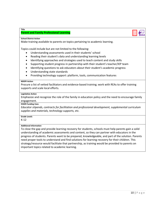### **Parent and Family Professional Learning**

### **School District Action**

**Title** 

Make training available to parents on topics pertaining to academic learning.<br>Topics could include but are not limited to the following:

- Understanding assessments used in their students' school
- Reading their student's data and understanding learning levels
- Identifying approaches and strategies used to teach content and study skills
- Supporting student progress in partnership with their student's teacher/IEP team
- Identifying questions to ask educators about their student's academic progress
- Understanding state standards
- Providing technology support: platform, tools, communication features

### **NDDPI Action**

Procure a list of vetted facilitators and evidence-based training; work with REAs to offer training supports and scale local efforts.

### **Legislative Action**

 Emphasize and recognize the role of the family in education policy and the need to encourage family engagement.

### **ESSER Funding Uses**

*Educator stipends, contracts for facilitation and professional development, supplemental curriculum supplies and materials, technology supports, etc.* 

### **Grade Levels**

K-12

### **Additional Information**

 understanding of academic assessments and content, so they can partner with educators in the progress of students. Parents want to be prepared, knowledgeable, and part of the solution. Parents strategy/resource would facilitate that partnership, as training would be provided to parents on To close the gap and provide learning recovery for students, schools must help parents gain a solid need proper tools to understand and find solutions for learning recovery for their children. This important topics related to academic learning.

第 **紀**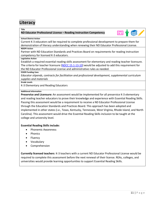## **Literacy**<br>Title

### **ND Educator Professional License – Reading Instruction Competency**



### **School District Action**

 Current K-3 educators will be required to complete professional development to prepare them for demonstration of literacy understanding when renewing their ND Educator Professional License. **NDDPI Action** 

Partner with ND Education Standards and Practices Board on requirements for reading instruction competency for licensed K-3 educators.

### **Legislative Action**

Establish a required essential reading skills assessment for elementary and reading teacher licensure. The criteria for teacher licensure [\(NDCC 15.1-13-10\)](https://www.legis.nd.gov/cencode/t15-1c13.html) would be adjusted to add this requirement for the ND Educator Professional License and administrative rules as needed.

### **ESSER Funding Uses**

*Educator stipends, contracts for facilitation and professional development, supplemental curriculum supplies and materials* 

**Grade Levels** 

K-3 Elementary and Reading Educators

### **Additional Information**

 Passing this assessment would be a requirement to receive a ND Educator Professional License Carolina). This assessment would drive the Essential Reading Skills inclusion to be taught at the **Preservice and Licensure:** An assessment would be implemented for all preservice K-3 elementary and reading teacher educators to prove their knowledge and experience with Essential Reading Skills. through the Education Standards and Practices Board. This approach has been adopted and implemented in other states (i.e., Texas, Kentucky, Tennessee, West Virginia, Rhode Island, and North college and university level.

### **Essential Reading Skills include:**

- Phonemic Awareness
- Phonics
- Fluency
- Vocabulary
- **Comprehension**

 required to complete this assessment before the next renewal of their license. REAs, colleges, and universities would provide learning opportunities to support Essential Reading Skills. **Currently licensed teachers**: K-3 teachers with a current ND Educator Professional License would be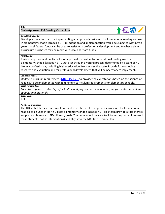## **State-Approved K-3 Reading Curriculum<br>School District Action**



 in elementary schools (grades K-3). Full adoption and implementation would be expected within two Develop a transition plan for implementing an approved curriculum for foundational reading and use years. Local federal funds can be used to assist with professional development and teacher training. Curriculum purchases may be made with local and state funds.

### **NDDPI Action**

 elementary schools (grades K-3). Curate list through a vetting process determined by a team of ND research and evaluation and for professional development that will be necessary to implement. Review, approve, and publish a list of approved curriculum for foundational reading used in literacy professionals, including higher education, from across the state. Provide for continuing

### **Legislative Action**

 reading, to be implemented within minimum curriculum requirements for elementary schools. Update curriculum requirements [NDCC 15.1-21:](https://www.legis.nd.gov/cencode/t15-1c21.html) to provide the expectations based on the science of

### **ESSER Funding Uses**

*Educator stipends, contracts for facilitation and professional development, supplemental curriculum supplies and materials* 

**Grade Levels** 

K-3

### **Additional Information**

 reading to be used in North Dakota elementary schools (grades K-3). This team provides state literacy support and is aware of ND's literacy goals. The team would create a tool for vetting curriculum (used The ND State Literacy Team would vet and assemble a list of approved curriculum for foundational by all students, not as interventions) and align it to the ND State Literacy Plan.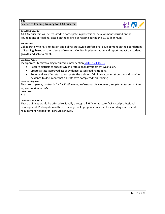## **Science of Reading Training for K-8 Educators and the contract of Reading Training for K-8 Educators**



### **School District Action**

 All K-8 educators will be required to participate in professional development focused on the Foundations of Reading, based on the science of reading during the 21-23 biennium.

### **NDDPI Action**

 Collaborate with REAs to design and deliver statewide professional development on the Foundations of Reading, based on the science of reading. Monitor implementation and report impact on student growth and achievement.

### **Legislative Action**

Incorporate literacy training required in new sectio[n NDCC 15.1-07-35](https://www.legis.nd.gov/cencode/t15-1c07.pdf) 

- Require districts to specify which professional development was taken.
- Create a state-approved list of evidence-based reading training.
- Require all certified staff to complete the training. Administrators must certify and provide evidence to document that all staff have completed this training.

### **ESSER Funding Uses**

*Educator stipends, contracts for facilitation and professional development, supplemental curriculum supplies and materials* 

 K-8 **Grade Levels** 

### **Additional Information**

These trainings would be offered regionally through all REAs or as state-facilitated professional development. Participation in these trainings could prepare educators for a reading assessment requirement needed for licensure renewal.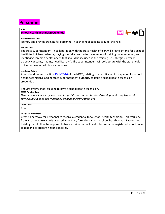### **Personnel**

### **Title**

## **School Health Technician Credential<br>School District Action**



Identify and provide training for personnel in each school building to fulfill this role.

### **NDDPI Action**

 The state superintendent, in collaboration with the state health officer, will create criteria for a school diabetic concerns, trauma, head lice, etc.). The superintendent will collaborate with the state health officer to develop administrative rules. health technician credential, paying special attention to the number of training hours required, and identifying common health needs that should be included in the training (i.e., allergies, juvenile

### **Legislative Action**

Amend and reenact section [15.1-02-16](https://www.legis.nd.gov/cencode/t15-1c02.pdf#nameddest=15p1-02-16) of the NDCC, relating to a certificate of completion for school health technicians, adding state superintendent authority to issue a school health technician credential.

Require every school building to have a school health technician.

### **ESSER Funding Uses**

 *curriculum supplies and materials, credential certification, etc. Health technician salary, contracts for facilitation and professional development, supplemental* 

### **Grade Levels**

K-12

### **Additional Information**

 from a school nurse who is licensed as an R.N., formally trained in school health needs. Every school to respond to student health concerns. Create a pathway for personnel to receive a credential for a school health technician. This would be building should then be required to have a trained school health technician or registered school nurse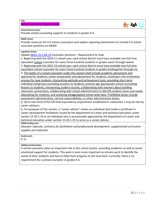## **School Counselor Requirement**<br>School District Action



Provide school counseling supports to students in grades K-6.

### **NDDPI Action**

 counselor positions on MIS03. Provide resources for K-6 school counselors and update reporting mechanisms to include K-6 school

### **Legislative Action**

Update [NDCC 15.1-06-19](https://www.legis.nd.gov/cencode/t15-1c06.pdf) Counselor positions – Requirement to read:

 1. Beginning with the 2010-11 school year, each school district must have available one full-time equivalent school counselor for every three hundred students in grades seven through twelve. equivalent school counselor for every three hundred students in grades kindergarten through six. 2. Beginning with the 2022-23 school year, each school district must have available one full-time

 3. The duties of a school counselor under this section shall include academic advisement and appraisal for students, career preparation and advisement for students, assisting in the orientation assessment administration, clerical responsibilities, or other administrative duties. process for new students, interpreting aptitude and achievement tests, providing short-term individual and group counseling sessions to students, present age-appropriate school counseling lessons to students, interpreting student records, collaborating with teachers about building classroom connections, collaborating with school administration to identify student issues and needs, advocating for students, and analyzing disaggregated school-wide data. Prohibited duties include

4. Up to one-third of the full-time equivalency requirement established in subsection 1 may be met by career advisors.

5. For purposes of this section, a "career advisor" means an individual who holds a certificate in career development facilitation issued by the department of career and technical education under section 15-20.1-24 or an individual who is provisionally approved by the department of career and technical education under section 15-20.1-25 to serve as a career advisor.

**ESSER Funding Uses** 

*Educator stipends, contracts for facilitation and professional development, supplemental curriculum supplies and materials* 

### **Grade Levels**

K-12

### **Additional Information**

 emotional support for students. This work is even more important as schools work to identify the needs of their students and how to help them progress to the next level. Currently, there is no A school counselor plays an important role in the school system, providing academic as well as socialrequirement for a school counselor in grades K-6.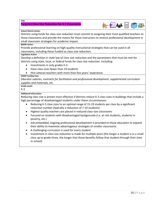## Ta**rgeted Class Size Reduction for K-3 Classrooms**<br>-<br>School District Action



 Districts using funds for class-size reduction must commit to assigning their most qualified teachers to those classrooms and provide the means for those instructors to receive professional development in small classroom strategies for academic impact.

### **NDDPI Action**

 Provide professional learning on high-quality instructional strategies that can be used in all classrooms, including those funded as class-size reduction.

### **Legislative Action**

 Develop a definition in state law of class size reduction and the parameters that must be met for districts using state, local, or federal funds for class size reduction. Including:

- Investments in only grades K-3
- Have class sizes fewer than 19 students
- Hire veteran teachers with more than five years' experience

### **ESSER Funding Uses**

*Educator salaries, contracts for facilitation and professional development, supplemental curriculum supplies and materials, etc.* 

**Grade Levels** 

### K-3

### **Additional Information**

Reducing class size is proven most effective if districts reduce K-3 class sizes in buildings that include a high percentage of disadvantaged students under these circumstances:

- • Reducing K-3 class sizes to an optimal range of 15-19 students per class by a significant reduction number (typically a reduction of 7-10 students)
- Highest quality teachers are placed in reduced class-size classrooms
- Focused on students with disadvantaged backgrounds (i.e. at-risk students, students in poverty, etc.)
- Job-embedded, ongoing professional development is provided to those educators to expand their ability to maximize advantageous strategies of smaller classrooms
- A challenging curriculum is used for every student
- Investment in class size reduction is made for multiple years (the longer a student is in a small class up to grade three, the longer that those benefits follow that student through their time in school)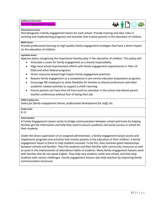### **Additional Information**

## **Family Engagement Liaisons<br>School District Action**



 Hire/designate a family engagement liaison for each school. Provide training and clear roles in assisting and implementing programs and activities that involve parents in the education of children.

### **NDDPI Action**

 Provide professional learning on high-quality family engagement strategies that have a direct impact on the education of children.

### **Legislative Action**

Approve policy recognizing the importance families play in the education of children. This policy will:

- Articulate a vision for family engagement as a shared responsibility.
- • Align local school improvement efforts with family engagement requirements in Title I of ESSA and other federal programs.
- Direct resources toward high-impact family engagement practices.
- Require family engagement as a competency in pre-service educator preparation programs.
- Encourage ND employers to allow flexibility for families to attend conferences and other academic-related activities to support a child's learning.
- • Ensure parents can have time off from work to volunteer in the school and attend parentteacher conferences without fear of losing their job.

### **ESSER Funding Uses**

 *Salary for family engagement liaison, professional development for staff, etc.* 

### **Grade Levels**

K-12

### **Action Needed**

 A Family Engagement Liaison works to bridge communication between school and home by helping families get the information and help they need to ensure academic and social success in school for their students.

 engagement liaison is there to help students succeed. To do this, they maintain good relationships students with various challenges. Family engagement liaisons also help teachers by improving family Under the direct supervision of an assigned administrator, a family engagement liaison assists and implements programs and activities that involve parents in the education of their children. A family between schools and families. They link students and their families with community resources as well as assist in the improvement of attendance habits of students. Many family engagement liaisons work with families that do not speak English. They help new students settle into school, and they help communication structures.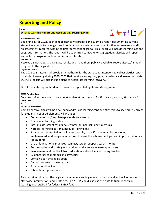### **Reporting and Policy**

### **Title**

### **District Learning Report and Accelerating Learning Plan**

### **School District Action**

 subgroup information. The report will be submitted to NDDPI for aggregation. Districts will report Beginning in Fall 2021, each school district will prepare and submit a report documenting current student academic knowledge based on data from an interim assessment, other assessments, and/or an assessment required within the first four weeks of school. This report will include learning loss and annually on progress made on achievement levels.

**组先程** 

### **NDDPI Action**

 Receive district reports; aggregate results and make them publicly available; report districts' annual progress to the Legislature.

### **Legislative Action**

 on student learning during 2020-2021 that details learning loss/gaps, based on valid assessment data. The 2021 Legislature shall provide the authority for the state superintendent to collect district reports Districts reports will also include plans to accelerate learning recovery.

Direct the state superintendent to provide a report to Legislative Management.

### **ESSER Funding Uses**

*Educator salaries needed to collect and analyze data, stipends for the development of the plan, etc.*  **Grade Levels** 

K-12

### **Additional Information**

 for students. Required elements will include: Comprehensive plans will be developed addressing learning gaps and strategies to accelerate learning

- Common format/template (preferably electronic)
- Grade level learning status
- Interim assessment results (fall, winter, spring) including subgroups
- Notable learning loss (for subgroups if prevalent)
- For students identified in the lowest quartile, a specific plan must be developed, implemented, and progress monitored to close the achievement gap and improve outcomes for students
- Use of foundational practices (connect, screen, support, teach, monitor)
- Recovery plan and strategies to address and accelerate learning recovery
- Involvement and feedback from education stakeholders, including families
- Evidence-based methods and strategies
- Contain clear, attainable goals
- Annual progress made on goals
- Submission timeline
- School board presentation

 This report would assist the Legislature in understanding where districts stand and will influence statewide interventions and strategies. The NDDPI could also use this data to fulfill reports on learning loss required for federal ESSER funds.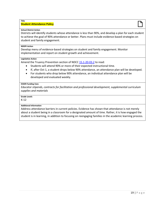### **Student Attendance Policy**  Title<br>Student Attendance Policy<br> **Student Attendance Policy**

### **School District Action**

 student and family engagement. Districts will identify students whose attendance is less than 90%, and develop a plan for each student to achieve the goal of 90% attendance or better. Plans must include evidence-based strategies on

### **NDDPI Action**

Develop menu of evidence-based strategies on student and family engagement. Monitor implementation and report on student growth and achievement.

### **Legislative Action**

Amend the Truancy Prevention section of NDCC [15.1-20-03.2](https://www.legis.nd.gov/cencode/t15-1c20.pdf) to read:

- Students will attend 90% or more of their expected instructional time.
- If, after Oct 1, a student drops below 90% attendance, an attendance plan will be developed.
- • For students who drop below 90% attendance, an individual attendance plan will be developed and evaluated weekly.

### **ESSER Funding Uses**

*Educator stipends, contracts for facilitation and professional development, supplemental curriculum supplies and materials* 

### **Grade Levels**

K-12

### **Additional Information**

Address attendance barriers in current policies. Evidence has shown that attendance is not merely about a student being in a classroom for a designated amount of time. Rather, it is how engaged the student is in learning, in addition to focusing on reengaging families in the academic learning process.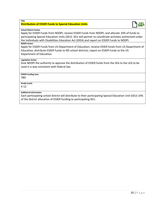### **Distribution of ESSER Funds to Special Education Units**

### **School District Action**

**Title** 

 participating Special Education Units (SEU). SEU will partner to coordinate activities authorized under Apply for ESSER Funds from NDDPI; receive ESSER Funds from NDDPI; and allocate 10% of funds to the Individuals with Disabilities Education Act (IDEA) and report on ESSER Funds to NDDPI.

### **NDDPI Action**

 Apply for ESSER Funds from US Department of Education; receive ESSER funds from US Department of Education; distribute ESSER Funds to ND school districts; report on ESSER Funds to the US Department of Education.

### **Legislative Action**

 Give NDDPI the authority to approve the distribution of ESSER funds from the SEA to the LEA to be used in a way consistent with federal law.

### **ESSER Funding Uses**

*TBD* 

**Grade Levels** 

K-12

### **Additional Information**

Each participating school district will distribute to their participating Special Education Unit (SEU) 10% of the district allocation of ESSER funding to participating SEU.